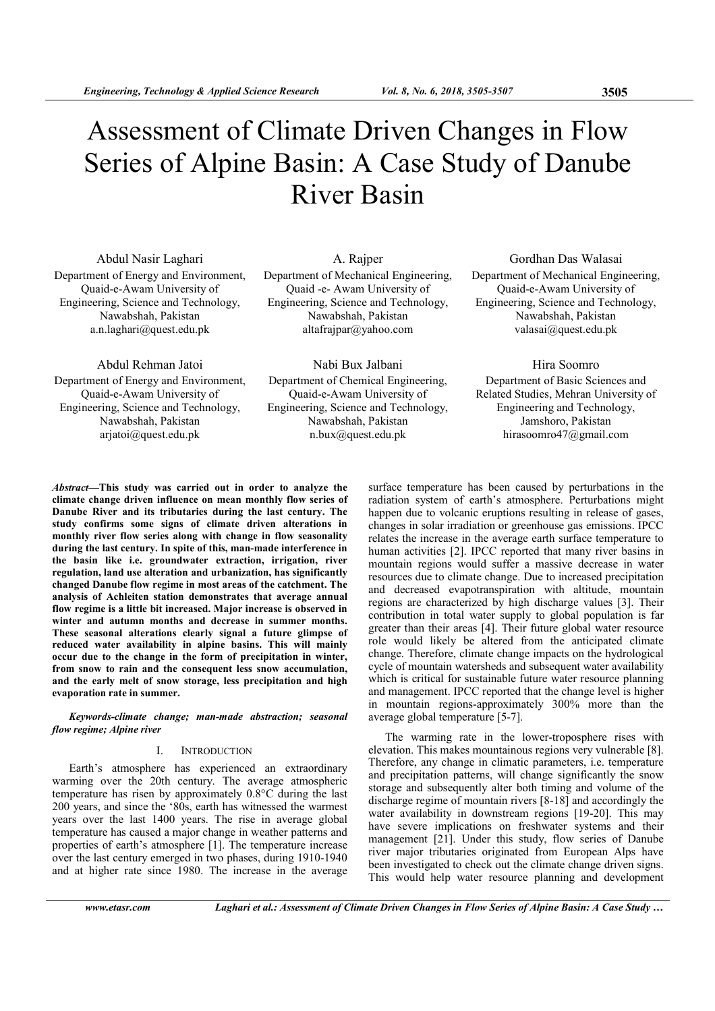# Assessment of Climate Driven Changes in Flow Series of Alpine Basin: A Case Study of Danube River Basin

Abdul Nasir Laghari Department of Energy and Environment, Quaid-e-Awam University of Engineering, Science and Technology, Nawabshah, Pakistan a.n.laghari@quest.edu.pk

A. Rajper Department of Mechanical Engineering, Quaid -e- Awam University of Engineering, Science and Technology, Nawabshah, Pakistan altafrajpar@yahoo.com

Gordhan Das Walasai Department of Mechanical Engineering, Quaid-e-Awam University of Engineering, Science and Technology, Nawabshah, Pakistan valasai@quest.edu.pk

Abdul Rehman Jatoi Department of Energy and Environment, Quaid-e-Awam University of Engineering, Science and Technology, Nawabshah, Pakistan arjatoi@quest.edu.pk

Nabi Bux Jalbani Department of Chemical Engineering, Quaid-e-Awam University of Engineering, Science and Technology, Nawabshah, Pakistan n.bux@quest.edu.pk

Hira Soomro Department of Basic Sciences and Related Studies, Mehran University of Engineering and Technology, Jamshoro, Pakistan hirasoomro47@gmail.com

Abstract—This study was carried out in order to analyze the climate change driven influence on mean monthly flow series of Danube River and its tributaries during the last century. The study confirms some signs of climate driven alterations in monthly river flow series along with change in flow seasonality during the last century. In spite of this, man-made interference in the basin like i.e. groundwater extraction, irrigation, river regulation, land use alteration and urbanization, has significantly changed Danube flow regime in most areas of the catchment. The analysis of Achleiten station demonstrates that average annual flow regime is a little bit increased. Major increase is observed in winter and autumn months and decrease in summer months. These seasonal alterations clearly signal a future glimpse of reduced water availability in alpine basins. This will mainly occur due to the change in the form of precipitation in winter, from snow to rain and the consequent less snow accumulation, and the early melt of snow storage, less precipitation and high evaporation rate in summer.

Keywords-climate change; man-made abstraction; seasonal flow regime; Alpine river

#### I. INTRODUCTION

Earth's atmosphere has experienced an extraordinary warming over the 20th century. The average atmospheric temperature has risen by approximately 0.8°C during the last 200 years, and since the '80s, earth has witnessed the warmest years over the last 1400 years. The rise in average global temperature has caused a major change in weather patterns and properties of earth's atmosphere [1]. The temperature increase over the last century emerged in two phases, during 1910-1940 and at higher rate since 1980. The increase in the average surface temperature has been caused by perturbations in the radiation system of earth's atmosphere. Perturbations might happen due to volcanic eruptions resulting in release of gases, changes in solar irradiation or greenhouse gas emissions. IPCC relates the increase in the average earth surface temperature to human activities [2]. IPCC reported that many river basins in mountain regions would suffer a massive decrease in water resources due to climate change. Due to increased precipitation and decreased evapotranspiration with altitude, mountain regions are characterized by high discharge values [3]. Their contribution in total water supply to global population is far greater than their areas [4]. Their future global water resource role would likely be altered from the anticipated climate change. Therefore, climate change impacts on the hydrological cycle of mountain watersheds and subsequent water availability which is critical for sustainable future water resource planning and management. IPCC reported that the change level is higher in mountain regions-approximately 300% more than the average global temperature [5-7].

The warming rate in the lower-troposphere rises with elevation. This makes mountainous regions very vulnerable [8]. Therefore, any change in climatic parameters, i.e. temperature and precipitation patterns, will change significantly the snow storage and subsequently alter both timing and volume of the discharge regime of mountain rivers [8-18] and accordingly the water availability in downstream regions [19-20]. This may have severe implications on freshwater systems and their management [21]. Under this study, flow series of Danube river major tributaries originated from European Alps have been investigated to check out the climate change driven signs. This would help water resource planning and development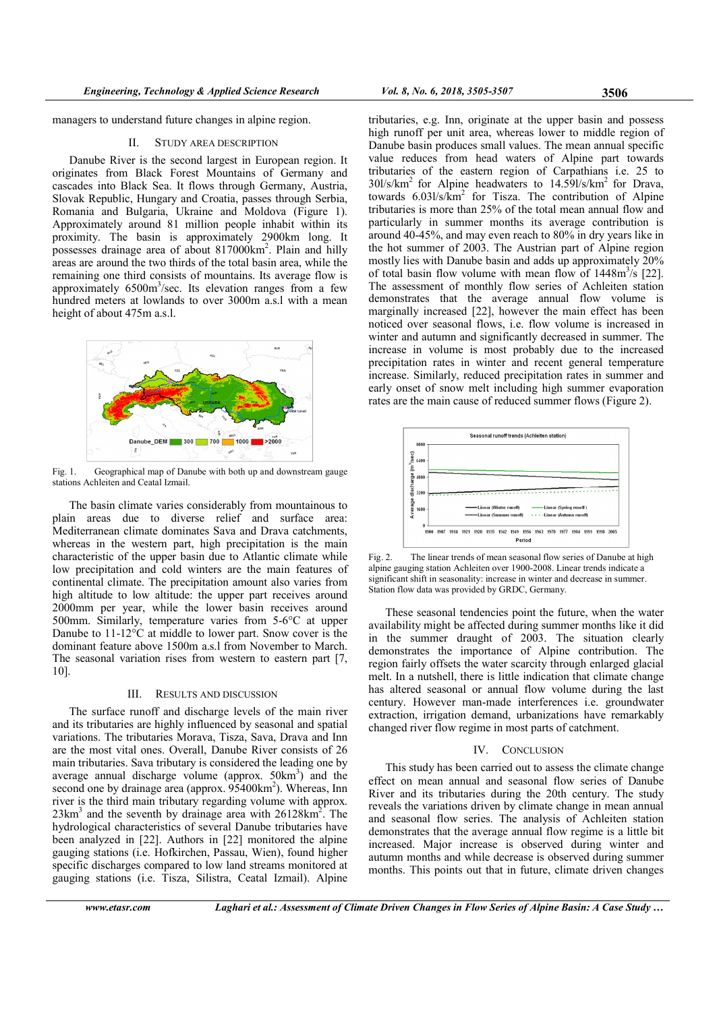managers to understand future changes in alpine region.

## II. STUDY AREA DESCRIPTION

Danube River is the second largest in European region. It originates from Black Forest Mountains of Germany and cascades into Black Sea. It flows through Germany, Austria, Slovak Republic, Hungary and Croatia, passes through Serbia, Romania and Bulgaria, Ukraine and Moldova (Figure 1). Approximately around 81 million people inhabit within its proximity. The basin is approximately 2900km long. It possesses drainage area of about 817000km<sup>2</sup>. Plain and hilly areas are around the two thirds of the total basin area, while the remaining one third consists of mountains. Its average flow is approximately  $6500 \text{m}^3/\text{sec}$ . Its elevation ranges from a few hundred meters at lowlands to over 3000m a.s.l with a mean height of about 475m a.s.l.



Fig. 1. Geographical map of Danube with both up and downstream gauge stations Achleiten and Ceatal Izmail.

The basin climate varies considerably from mountainous to plain areas due to diverse relief and surface area: Mediterranean climate dominates Sava and Drava catchments, whereas in the western part, high precipitation is the main characteristic of the upper basin due to Atlantic climate while low precipitation and cold winters are the main features of continental climate. The precipitation amount also varies from high altitude to low altitude: the upper part receives around 2000mm per year, while the lower basin receives around 500mm. Similarly, temperature varies from 5-6°C at upper Danube to 11-12°C at middle to lower part. Snow cover is the dominant feature above 1500m a.s.l from November to March. The seasonal variation rises from western to eastern part [7, 10].

## III. RESULTS AND DISCUSSION

The surface runoff and discharge levels of the main river and its tributaries are highly influenced by seasonal and spatial variations. The tributaries Morava, Tisza, Sava, Drava and Inn are the most vital ones. Overall, Danube River consists of 26 main tributaries. Sava tributary is considered the leading one by average annual discharge volume (approx.  $50 \text{km}^3$ ) and the second one by drainage area (approx. 95400km<sup>2</sup>). Whereas, Inn river is the third main tributary regarding volume with approx.  $23 \text{km}^3$  and the seventh by drainage area with  $26128 \text{km}^2$ . The hydrological characteristics of several Danube tributaries have been analyzed in [22]. Authors in [22] monitored the alpine gauging stations (i.e. Hofkirchen, Passau, Wien), found higher specific discharges compared to low land streams monitored at gauging stations (i.e. Tisza, Silistra, Ceatal Izmail). Alpine

tributaries, e.g. Inn, originate at the upper basin and possess high runoff per unit area, whereas lower to middle region of Danube basin produces small values. The mean annual specific value reduces from head waters of Alpine part towards tributaries of the eastern region of Carpathians i.e. 25 to  $30$ l/s/km<sup>2</sup> for Alpine headwaters to 14.59l/s/km<sup>2</sup> for Drava, towards 6.03l/s/km<sup>2</sup> for Tisza. The contribution of Alpine tributaries is more than 25% of the total mean annual flow and particularly in summer months its average contribution is around 40-45%, and may even reach to 80% in dry years like in the hot summer of 2003. The Austrian part of Alpine region mostly lies with Danube basin and adds up approximately 20% of total basin flow volume with mean flow of  $1448 \text{m}^3/\text{s}$  [22]. The assessment of monthly flow series of Achleiten station demonstrates that the average annual flow volume is marginally increased [22], however the main effect has been noticed over seasonal flows, i.e. flow volume is increased in winter and autumn and significantly decreased in summer. The increase in volume is most probably due to the increased precipitation rates in winter and recent general temperature increase. Similarly, reduced precipitation rates in summer and early onset of snow melt including high summer evaporation rates are the main cause of reduced summer flows (Figure 2).



Fig. 2. The linear trends of mean seasonal flow series of Danube at high alpine gauging station Achleiten over 1900-2008. Linear trends indicate a significant shift in seasonality: increase in winter and decrease in summer. Station flow data was provided by GRDC, Germany.

These seasonal tendencies point the future, when the water availability might be affected during summer months like it did in the summer draught of 2003. The situation clearly demonstrates the importance of Alpine contribution. The region fairly offsets the water scarcity through enlarged glacial melt. In a nutshell, there is little indication that climate change has altered seasonal or annual flow volume during the last century. However man-made interferences i.e. groundwater extraction, irrigation demand, urbanizations have remarkably changed river flow regime in most parts of catchment.

#### IV. CONCLUSION

This study has been carried out to assess the climate change effect on mean annual and seasonal flow series of Danube River and its tributaries during the 20th century. The study reveals the variations driven by climate change in mean annual and seasonal flow series. The analysis of Achleiten station demonstrates that the average annual flow regime is a little bit increased. Major increase is observed during winter and autumn months and while decrease is observed during summer months. This points out that in future, climate driven changes